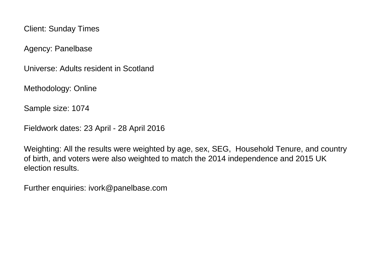Client: Sunday Times

Agency: Panelbase

Universe: Adults resident in Scotland

Methodology: Online

Sample size: 1074

Fieldwork dates: 23 April - 28 April 2016

Weighting: All the results were weighted by age, sex, SEG, Household Tenure, and country of birth, and voters were also weighted to match the 2014 independence and 2015 UK election results.

Further enquiries: ivork@panelbase.com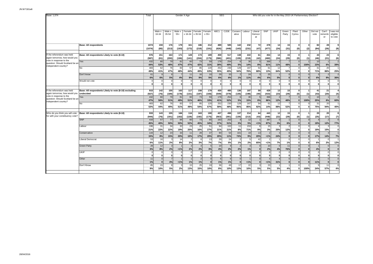| Base: 1,074                                                                        |                                                                    | Total             |                 |                                      |                                | Gender X Age                      |                    |                    | <b>SEG</b>              |                   |                                          |                                      |                                        |                                |                                |                             | Who did you vote for in the May 2015 UK Parliamentary Election? |       |                                   |                             |                                            |
|------------------------------------------------------------------------------------|--------------------------------------------------------------------|-------------------|-----------------|--------------------------------------|--------------------------------|-----------------------------------|--------------------|--------------------|-------------------------|-------------------|------------------------------------------|--------------------------------------|----------------------------------------|--------------------------------|--------------------------------|-----------------------------|-----------------------------------------------------------------|-------|-----------------------------------|-----------------------------|--------------------------------------------|
|                                                                                    |                                                                    |                   |                 |                                      |                                |                                   |                    |                    |                         |                   |                                          |                                      |                                        |                                |                                |                             |                                                                 |       |                                   |                             |                                            |
|                                                                                    |                                                                    |                   | Male x<br>16-34 | Male x<br>35-54                      | Male x<br>$55+$                | Female<br>x 16-34                 | Female<br>x 35-54  | Female<br>x 55+    | ABC1                    | C <sub>2</sub> DE | Conserv<br>ative                         | Labour                               | Liberal<br>Democr<br>at                | SNP                            | <b>UKIP</b>                    | Green<br>Party              | Plaid<br>Cymru                                                  | Other | Did not<br>vote                   | Can't<br>rememb<br>er       | was no<br>eligible<br>to vote              |
|                                                                                    | <b>Base: All respondents</b>                                       | 107<br>(1074)     | 159<br>(85)     | 176<br>(213)                         | 179<br>(193)                   | 161<br>(173)                      | 186<br>(219)       | 212<br>(191)       | 489<br>(626)            | 585<br>(448)      | 142<br>(143)                             | 232<br>(231)                         | 72<br>(47)                             | 478<br>(477)                   | 14<br>(24)                     | 15<br>(31)                  | 0<br>(0)                                                        | (2)   | 82<br>(84)                        | 28<br>(26)                  | $\mathbf{Q}$<br>(9)                        |
| If the referendum was held<br>again tomorrow, how would you                        | Base: All respondents Likely to vote (8-10)                        | 976<br>(987)      | 151<br>(81)     | 163<br>(200)                         | 171<br>(186)                   | 128<br>(141)                      | 173<br>(204)       | 189<br>(175)       | 459<br>(586)            | 517<br>(401)      | 138<br>(139)                             | 222<br>(219)                         | 61<br>(42)                             | 454<br>(460)                   | 14<br>(24)                     | 15<br>(29)                  | $\Omega$<br>(0)                                                 | (1)   | 43<br>(46)                        | 23<br>(21)                  | 6<br>(6)                                   |
| vote in response to the<br>question: Should Scotland be an<br>independent country? | Yes                                                                | 432<br>44%        | 80<br>53%       | 79<br>48%                            | 81<br>47%                      | 60<br>47%                         | 73<br>42%          | 59<br>31%          | 178<br>39%              | 254<br>49%        | 6<br>5%                                  | 30<br>14%                            | 5<br>8%                                | 368<br>81%                     | $\overline{2}$<br>11%          | 48%                         | $\Omega$<br>$\Omega$                                            | 100%  | 10<br>23%                         | 6%                          | $\overline{2}$<br>39%                      |
|                                                                                    | <b>No</b><br>Don't know                                            | 483<br>49%<br>61  | 62<br>41%       | 76<br>47%                            | 83<br>48%                      | 57<br>44%<br>11                   | 85<br>49%<br>16    | 120<br>63%<br>10   | 252<br>55%<br>29        | 230<br>45%<br>33  | 129<br>94%                               | 167<br>76%<br>24                     | 54<br>88%<br>-3                        | 61<br>13%<br>25                | 12<br>84%                      | 52%                         | $\mathbf{0}$<br>$\Omega$                                        |       | 31<br>71%                         | 20<br>86%                   | 25%                                        |
|                                                                                    | Would not vote                                                     | 6%                | 6%<br>0         | 5%<br>$\overline{0}$<br>ō            | 4%<br>$\Omega$<br>$\mathbf{0}$ | 9%<br>$\Omega$<br>0               | 9%<br>$\mathbf{0}$ | 5%<br>$\mathbf{0}$ | 6%<br>$\mathbf{0}$      | 6%                | 1%<br>$\Omega$<br>$\mathbf{0}$           | 11%<br>$\Omega$<br>$\overline{0}$    | 4%<br>$\Omega$<br>$\mathbf{0}$         | 6%<br>$\Omega$<br>$\mathbf{0}$ | 5%<br>$\Omega$<br>$\mathbf{0}$ | $\Omega$<br>$\bf{0}$        | $\mathbf{0}$<br>$\Omega$<br>$\mathbf{0}$                        |       | 6%<br>$\mathbf{0}$                | 9%<br>$\Omega$<br>οl        | 36%<br>O                                   |
| If the referendum was held<br>again tomorrow, how would you                        | Base: All respondents Likely to vote (8-10) excluding<br>undecided | 915<br>(927)      | 142<br>(76)     | 155<br>(189)                         | 163<br>(178)                   | 117<br>(131)                      | 158<br>(187)       | 179<br>(166)       | 430<br>(549)            | 485<br>(378)      | 136<br>(136)                             | 197<br>(198)                         | 59<br>(40)                             | 429<br>(433)                   | 13<br>(23)                     | 15<br>(29)                  | $\Omega$<br>(0)                                                 | (1)   | 41<br>(43)                        | 21<br>(20)                  | (4)                                        |
| vote in response to the<br>question: Should Scotland be an<br>independent country? | Yes                                                                | 432<br>47%        | 80<br>56%       | 79<br>51%                            | 81<br>49%                      | 60<br>51%                         | 73<br>46%          | 59<br>33%          | 178<br>41%              | 254<br>52%        | 6<br>5%                                  | 30<br>15%                            | 5<br>8%                                | 368<br>86%                     | 12%                            | 48%                         | $\Omega$                                                        | 100%  | 10<br>25%                         | 6%                          | 60%                                        |
|                                                                                    | <b>No</b>                                                          | 483<br>53%        | 62<br>44%       | 76<br>49%                            | 83<br>51%                      | 57<br>49%                         | 85<br>54%          | 120<br>67%         | 252<br>59%              | 230<br>48%        | 129<br>95%                               | 167<br>85%                           | 54<br>92%                              | 61<br>14%                      | 12<br>88%                      | 52%                         | ŋ                                                               |       | 31<br>75%                         | 20<br>94%                   | 40%                                        |
| Who do you think you will vote<br>for with your constituency vote?                 | Base: All respondents Likely to vote (8-10)                        | 933<br>(944)      | 143<br>(76)     | 155<br>(191)                         | 166<br>(182)                   | 116<br>(128)                      | 163<br>(192)       | 190<br>(175)       | 437<br>(563)            | 496<br>(381)      | 137<br>(139)                             | 214<br>(213)                         | 64<br>(43)                             | 443<br>(448)                   | 12<br>(22)<br>$\Omega$         | 15<br>(29)                  | $\Omega$<br>(0)                                                 | (1)   | 20<br>(25)                        | 20<br>(17)<br>$\mathcal{P}$ | $\mathbf{a}$<br>(7)<br>6                   |
|                                                                                    | <b>SNP</b><br>Labour                                               | 416<br>45%<br>196 | 57<br>40%<br>31 | 77<br>50%<br>34                      | 84<br>50%<br>32                | 60<br>52%<br>23                   | 73<br>45%<br>25    | 65<br>34%<br>51    | 163<br><b>37%</b><br>94 | 253<br>51%<br>102 | $\Delta$<br>3%<br>11                     | 12<br>5%<br>153                      | 1%<br>6                                | 387<br>87%<br>15               | 3%                             | 6%                          | $\Omega$<br>$\mathbf{0}$                                        |       | 19%                               | 12%<br>3                    | 77%<br>$\Omega$                            |
|                                                                                    | Conservative                                                       | 21%<br>144<br>15% | 22%<br>12<br>8% | 22%<br>23<br>15%                     | 19%<br>33<br>20%               | 20%<br>11<br>10%                  | 16%<br>28<br>17%   | 27%<br>37<br>20%   | 21%<br>90<br>20%        | 21%<br>54<br>11%  | 8%<br>101<br>74%                         | 71%<br>19<br>9%                      | 9%<br>13<br>20%                        | 3%<br>$\overline{2}$<br>1%     | 25%<br>G<br>24%                | 12%<br>$\Omega$<br>$\bf{0}$ | $\Omega$<br>$\Omega$<br>$\mathbf{0}$                            |       | 19%<br>17%                        | 15%<br>3<br>14%             | <sup>0</sup><br>7%                         |
|                                                                                    | Liberal Democrat                                                   | 53<br>6%          | 16<br>11%       | 3<br>2%                              | 14<br>8%                       | $\overline{\phantom{a}}$<br>2%    | 3%                 | 13<br>7%           | 29<br>7%                | 24<br>5%          | $\mathfrak{p}$<br>1%                     | 5<br>2%                              | 42<br>65%                              | 2<br>< 1%                      | 7%                             | $\Omega$<br>1%              | $\Omega$<br>$\mathbf{0}$                                        |       | 6%                                | $\Omega$<br>2%              | 12%                                        |
|                                                                                    | <b>Green Party</b><br>UKIP                                         | 28<br>3%          | 12<br>8%        | 3<br>2%<br>$\Omega$                  | 1%<br>$\Omega$                 | $\mathbf{3}$<br>2%<br>$\mathbf 0$ | 2%<br>- 0          | 3%                 | 19<br>4%                | 2%                | $\overline{2}$<br>2%<br>$\Omega$         | 3<br>1%<br>$\circ$                   | $\Omega$<br>$\bf{0}$<br>$\Omega$       | 10<br>2%<br>$\Omega$           | $\Omega$<br>4%<br>-C           | 11<br>76%<br>O              | $\overline{0}$<br>$\Omega$<br>$\Omega$                          |       | 4%<br>$\Omega$                    | $\Omega$<br>0<br>ΩI         | $\overline{0}$<br>$\mathbf{0}$<br>$\Omega$ |
|                                                                                    | Other                                                              | 11<br>1%          | O<br>$\sqrt{ }$ | $\mathbf{0}$<br>$\overline{7}$<br>4% | $\Omega$<br>1%                 | $\Omega$<br>1%                    | $\Omega$<br>1%     | $\Omega$           | $\Omega$<br>6<br>1%     | 1%                | $\mathbf{0}$<br>$\Omega$<br>$\mathbf{0}$ | $\mathbf{0}$<br>$\overline{1}$<br>1% | $\Omega$<br>$\overline{0}$<br>$\bf{0}$ | $\Omega$                       | O<br>31%                       | O<br>$\Omega$<br>$\Omega$   | $\Omega$<br>$\Omega$<br>$\Omega$                                |       | $\Omega$<br>$\overline{2}$<br>11% | οI<br>$\overline{0}$<br>0   | <sub>0</sub><br>$\Omega$<br>$\mathbf{0}$   |
|                                                                                    | Don't Know                                                         | 85<br>9%          | 15<br>10%       | 8<br>5%                              | 2%                             | 15<br>13%                         | 25<br>15%          | 19<br>10%          | 36<br>8%                | 49<br>10%         | 17<br>13%                                | 22<br>10%                            | 3<br>5%                                | 1%<br>23<br>5%                 | 5%                             | 4%                          | $\Omega$<br>$\Omega$                                            | 100%  | 5<br>24%                          | 11<br>57%                   | $\Omega$<br>4%                             |
|                                                                                    |                                                                    |                   |                 |                                      |                                |                                   |                    |                    |                         |                   |                                          |                                      |                                        |                                |                                |                             |                                                                 |       |                                   |                             |                                            |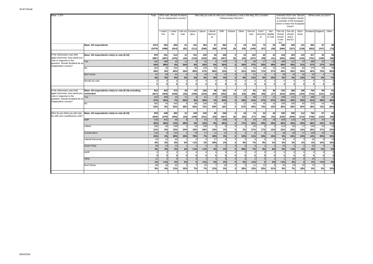| Base: 1,074                                                                           |                                                                    | Total              |                        | 2014 vote: Should Scotland<br>be an independent country? |                 |                         | Who did you vote for with your constituency vote in the May 2011 Scottish |                                    |                                   | Parliamentary Election?                        |                                     |                                 |                                  |                            |                                                   | Intended 2016 vote: Should<br>the United Kingdom remain<br>a member of the European<br>Union or leave the European<br>Union? |                     |                                      | Where were you born?           |                  |
|---------------------------------------------------------------------------------------|--------------------------------------------------------------------|--------------------|------------------------|----------------------------------------------------------|-----------------|-------------------------|---------------------------------------------------------------------------|------------------------------------|-----------------------------------|------------------------------------------------|-------------------------------------|---------------------------------|----------------------------------|----------------------------|---------------------------------------------------|------------------------------------------------------------------------------------------------------------------------------|---------------------|--------------------------------------|--------------------------------|------------------|
|                                                                                       |                                                                    |                    | I voted<br>Yes         | I voted<br><b>No</b>                                     | did not<br>vote | Consen<br>ative         | Labour                                                                    | Liberal<br>Democr<br>at            | <b>SNP</b>                        | Greens                                         | Other                               | Did not<br>vote                 | Can't<br>rememb<br>er            | Not<br>eligible<br>to vote | The UK<br>should<br>remain<br>in the<br><b>EU</b> | The UK<br>should<br>leave<br>the EU                                                                                          | Don't<br>know       | Scotland England                     |                                | Other            |
|                                                                                       | <b>Base: All respondents</b>                                       | 1074<br>(1074)     | 453<br>(499)           | 560<br>(514)                                             | 61<br>(61)      | 101<br>(111)            | 254<br>(246)                                                              | 67<br>(58)                         | 364<br>(379)                      | $\Omega$<br>(0)                                | 19<br>(25)                          | 143<br>(149)                    | 73<br>(67)                       | 53<br>(39)                 | 580<br>(584)                                      | 325<br>(327)                                                                                                                 | 141<br>(139)        | 891<br>(853)                         | 97<br>(147)                    | 86<br>(74)       |
| f the referendum was held<br>again tomorrow, how would you<br>vote in response to the | Base: All respondents Likely to vote (8-10)                        | 976<br>(987)       | 441<br>(487)           | 514<br>(476)                                             | 21<br>(24)      | 101<br>(110)            | 235<br>(233)                                                              | 64<br>(55)                         | 348<br>(367)                      | $\mathbf{0}$<br>(0)                            | 19<br>(25)                          | 103<br>(107)                    | 65<br>(59)                       | 42<br>(31)                 | 544<br>(552)                                      | 303<br>(308)                                                                                                                 | 122<br>(120)        | 817<br>(791)                         | 93<br>(138)                    | 66<br>(58)       |
| question: Should Scotland be an<br>independent country?                               | Yes<br>No                                                          | 432<br>44%<br>483  | 388<br>88%<br>34       | 33<br>6%<br>440                                          | 11<br>54%       | 8%<br>89                | 61<br>26%<br>159                                                          | 6%<br>55                           | 278<br>80%<br>53                  | $\overline{0}$<br>$\mathbf{0}$<br>$\Omega$     | 6<br>30%<br>12                      | 38<br>37%<br>54                 | 17<br>26%<br>46                  | 21<br>48%<br>16            | 269<br>49%<br>246                                 | 121<br>40%<br>165                                                                                                            | 37<br>31%<br>69     | 386<br>47%<br>378                    | 25<br>27%<br>65                | 22<br>33%<br>40  |
|                                                                                       | Don't know                                                         | 49%<br>61          | 8%<br>20               | 86%<br>41                                                | 44%             | 89%                     | 67%<br>15                                                                 | 86%<br>5                           | 15%<br>17                         | $\mathbf{0}$<br>$\overline{0}$<br>$\mathbf{0}$ | 61%<br>$\overline{2}$               | 53%<br>11                       | 71%                              | 37%                        | 45%<br>29                                         | 55%<br>16                                                                                                                    | 56%<br>16           | 46%<br>53                            | 70%                            | 60%              |
|                                                                                       | Would not vote                                                     | 6%<br>$\mathbf{0}$ | 5%<br>$\mathbf 0$<br>0 | 8%<br>$\mathbf 0$<br>0                                   | 2%<br>$\Omega$  | 4%<br>$\mathbf 0$<br>οl | 6%<br>$\Omega$<br>οl                                                      | 8%<br>$\mathsf{C}$<br>$\mathbf{0}$ | 5%<br>$\mathbf 0$<br>$\mathbf{0}$ | $\overline{0}$<br>0                            | 8%<br>$\mathbf 0$<br>$\overline{0}$ | 11%<br>$\Omega$<br>$\mathbf{0}$ | 3%<br>$\circ$<br>oľ              | 15%<br>$\Omega$            | 5%<br>$\Omega$<br>$\Omega$                        | 5%<br>$\mathbf 0$<br>$\overline{0}$                                                                                          | 13%<br>$\mathbf{0}$ | 7%<br>$\overline{0}$<br>$\mathbf{0}$ | 4%<br>$\Omega$<br>$\mathbf{0}$ | 7%               |
| If the referendum was held<br>again tomorrow, how would you                           | Base: All respondents Likely to vote (8-10) excluding<br>undecided | 915<br>(927)       | 422<br>(464)           | 473<br>(440)                                             | 20<br>(23)      | 97<br>(105)             | 220<br>(216)                                                              | 59<br>(50)                         | 331<br>(352)                      | $\mathbf{0}$<br>(0)                            | 17<br>(23)                          | 92<br>(98)                      | 62<br>(56)                       | 36<br>(27)                 | 515<br>(523)                                      | 286<br>(293)                                                                                                                 | 106<br>(104)        | 764<br>(743)                         | 90<br>(131)                    | 61<br>(53)       |
| vote in response to the<br>question: Should Scotland be an<br>independent country?    | Yes<br>No                                                          | 432<br>47%<br>483  | 388<br>92%<br>34       | 33<br>7%<br>440                                          | 11<br>55%       | 8%<br>89                | 61<br>28%<br>159                                                          | 7%<br>55                           | 278<br>84%<br>53                  | $\overline{0}$<br>$\mathbf{0}$<br>$\Omega$     | 6<br>33%<br>12                      | 38<br>41%<br>54                 | 17<br>27%<br>46                  | 21<br>57%<br>16            | 269<br>52%<br>246                                 | 121<br>42%<br>165                                                                                                            | 37<br>35%<br>69     | 386<br>51%<br>378                    | 25<br>28%<br>65                | 22<br>35%<br>40  |
|                                                                                       |                                                                    | 53%                | 8%                     | 93%                                                      | 45%             | 92%                     | 72%                                                                       | 93%                                | 16%                               | $\mathbf{0}$                                   | 67%                                 | 59%                             | 73%                              | 43%                        | 48%                                               | 58%                                                                                                                          | 65%                 | 49%                                  | 72%                            | 65%              |
| Who do you think you will vote<br>for with your constituency vote?                    | Base: All respondents Likely to vote (8-10)                        | 933<br>(944)       | 428<br>(470)           | 483<br>(450)                                             | 21<br>(24)      | 100<br>(109)            | 233<br>(231)                                                              | 60<br>(53)                         | 349<br>(367)                      | $\mathbf{0}$<br>(0)                            | 19<br>(25)                          | 74<br>(77)                      | 53<br>(49)                       | 45<br>(33)                 | 526<br>(535)                                      | 290<br>(294)                                                                                                                 | 112<br>(110)        | 784<br>(756)                         | 87<br>(133)                    | 62<br>(55)       |
|                                                                                       | <b>SNP</b><br>Labour                                               | 416<br>45%<br>196  | 341<br>80%<br>33       | 66<br>14%<br>158                                         | 38%             | 3%<br>10                | 52<br>23%<br>138                                                          | $\overline{5}$<br>9%<br>6          | 295<br>85%<br>8                   | $\Omega$<br>$\Omega$<br>$\Omega$               | 3<br>17%                            | 24<br>32%<br>20                 | 15<br>29%                        | 18<br>39%                  | 254<br>48%<br>113                                 | 115<br>40%<br>65                                                                                                             | 44<br>39%<br>17     | 377<br>48%<br>159                    | 20<br>23%<br>23                | 19<br>31%<br>14  |
|                                                                                       | Conservative                                                       | 21%<br>144         | 8%                     | 33%<br>134                                               | 24%             | 10%<br>79               | 59%<br>17                                                                 | 10%<br>11                          | 2%<br>11                          | $\Omega$<br>$\Omega$                           | 3%<br>$\overline{2}$                | 27%<br>$\epsilon$               | 17%                              | 12%                        | 22%<br>48                                         | 22%<br>69                                                                                                                    | 16%<br>27           | 20%<br>109                           | 27%<br>26                      | 22%<br>10        |
|                                                                                       | Liberal Democrat                                                   | 15%<br>53<br>6%    | 2%<br>12<br>3%         | 28%<br>40<br>8%                                          | 10%             | 79%                     | 7%<br>6                                                                   | 18%<br>27<br>45%                   | 3%<br>6                           | $\Omega$<br>$\Omega$<br>$\Omega$               | 12%<br>9%                           | 11%                             | 18%<br>9%                        | 16%                        | 9%<br>40<br>8%                                    | 24%<br>q                                                                                                                     | 24%<br>2%           | 14%<br>34                            | 29%                            | 15%<br>10<br>16% |
|                                                                                       | <b>Green Party</b>                                                 | 28<br>3%           | 14<br>3%               | 13<br>3%                                                 | 5%<br>4%        | 1%<br>1%                | 3%<br>$\mathcal{P}$<br>1%                                                 | Э<br>4%                            | 2%<br>$\overline{7}$<br>2%        | $\Omega$<br>$\Omega$                           | 6<br>30%                            | 7%<br>5<br>7%                   | 3%                               | 3%<br>8%                   | 24<br>5%                                          | 3%<br>2<br>1%                                                                                                                | 1%                  | 4%<br>22<br>3%                       | 10%<br>5%                      | 3%               |
|                                                                                       | UKIP                                                               |                    | $\Omega$<br>$\Omega$   | $\Omega$<br>$\Omega$                                     |                 | $\Omega$<br>$\Omega$    | $\Omega$<br>$\Omega$                                                      | $\Omega$<br>$\Omega$               | $\mathbf 0$<br>$\mathbf{0}$       | $\Omega$<br>$\Omega$                           | $\Omega$<br>$\Omega$                | C<br>$\Omega$                   | $\Omega$<br>0                    |                            | $\Omega$<br>$\Omega$                              | $\mathbf 0$<br>$\mathbf{0}$                                                                                                  | $\Omega$            | $\overline{0}$<br>$\Omega$           | $\Omega$<br>$\mathbf{0}$       |                  |
|                                                                                       | Other<br>Don't Know                                                | 11<br>1%<br>85     | 1%<br>18               | $\overline{g}$<br>2%<br>63                               | 4%              | $\Omega$                | 1%<br>15                                                                  | 2%                                 | 6<br>2%<br>16                     | $\Omega$<br>$\Omega$<br>$\Omega$               | $\Omega$<br>3%                      | 1%<br>11                        | $\overline{0}$<br>$\Omega$<br>13 | 3%                         | 1%<br>45                                          | 10<br>3%<br>19                                                                                                               | 20                  | 10<br>1%<br>73                       | 1%                             | 2%               |
|                                                                                       |                                                                    | 9%                 | 4%                     | 13%                                                      | 15%             | 7%                      | 7%                                                                        | 12%                                | 5%                                | $\Omega$                                       | 26%                                 | 15%                             | 25%                              | 21%                        | 9%                                                | 7%                                                                                                                           | 18%                 | 9%                                   | 5%                             | 10%              |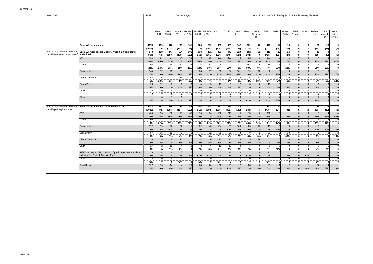| Base: 1,074                      |                                                                                                            | Total        |               |                |           | Gender X Age |                |             |              | <b>SEG</b>        |                      |                |                          |                | Who did you vote for in the May 2015 UK Parliamentary Election? |                          |                          |                 |                 |                          |                         |
|----------------------------------|------------------------------------------------------------------------------------------------------------|--------------|---------------|----------------|-----------|--------------|----------------|-------------|--------------|-------------------|----------------------|----------------|--------------------------|----------------|-----------------------------------------------------------------|--------------------------|--------------------------|-----------------|-----------------|--------------------------|-------------------------|
|                                  |                                                                                                            |              |               |                |           |              |                |             |              |                   |                      |                |                          |                |                                                                 |                          |                          |                 |                 |                          |                         |
|                                  |                                                                                                            |              |               |                |           |              |                |             |              |                   |                      |                |                          |                |                                                                 |                          |                          |                 |                 |                          |                         |
|                                  |                                                                                                            |              | Male x        | Male x         | Male x    | Female       | Female         | Female      | ABC1         | C <sub>2</sub> DE | Conserv              | Labour         | Liberal                  | SNP            | UKIP                                                            | Green                    | Plaid                    | Other           | Did not         | Can't                    | was not                 |
|                                  |                                                                                                            |              | 16-34         | 35-54          | $55+$     | x 16-34      | x 35-54        | x 55+       |              |                   | ative                |                | Democr<br>at             |                |                                                                 | Party                    | Cymru                    |                 | vote            | rememb<br>er             | eligible<br>to vote     |
|                                  |                                                                                                            |              |               |                |           |              |                |             |              |                   |                      |                |                          |                |                                                                 |                          |                          |                 |                 |                          |                         |
|                                  | <b>Base: All respondents</b>                                                                               | 1074         | 159           | 176            | 179       | 161          | 186            | 212         | 489          | 585               | 142                  | 232            | 72                       | 478            | 14                                                              | 15                       | $\mathbf{0}$             | 3               | 82              | 28                       | 9                       |
|                                  |                                                                                                            | (1074)       | (85)          | (213)          | (193)     | (173)        | (219)          | (191)       | (626)        | (448)             | (143)                | (231)          | (47)                     | (477)          | (24)                                                            | (31)                     | (0)                      | (2)             | (84)            | (26)                     | (9)                     |
| Who do you think you will vote   | Base: All respondents Likely to vote (8-10) excluding                                                      | 848          | 128           | 147            | 164       | 101          | 138            | 171         | 401          | 447               | 120                  | 192            | 61                       | 419            | 12                                                              | 14                       | $\mathbf{0}$             | $\mathbf{a}$    | 15 <sup>1</sup> | 9                        | $\overline{7}$          |
| for with your constituency vote? | undecided<br><b>SNP</b>                                                                                    | (864)<br>416 | (69)<br>57    | (180)          | (178)     | (113)        | (163)<br>73    | (161)<br>65 | (516)<br>163 | (348)             | (127)                | (194)          | (40)                     | (423)          | (21)                                                            | (27)                     | (0)<br>$\Omega$          | (0)<br>$\Omega$ | (18)            | (8)<br>$\mathcal{P}$     | (6)                     |
|                                  |                                                                                                            | 49%          | 45%           | 77<br>52%      | 84<br>51% | 60<br>60%    | 53%            | 38%         | 41%          | 253<br><b>57%</b> | 3%                   | 12<br>6%       | 1%                       | 387<br>92%     | $\overline{0}$<br>4%                                            | 7%                       | $\mathbf{0}$             |                 | 25%             | 29%                      | 6<br>81%                |
|                                  | Labour                                                                                                     | 196          | 31            | 34             | 32        | 23           | 25             | 51          | 94           | 102               | 11                   | 153            | 6                        | 15             | 3                                                               |                          | $\Omega$                 |                 |                 |                          | $\Omega$                |
|                                  |                                                                                                            | 23%          | 24%           | 23%            | 19%       | 23%          | 18%            | 30%         | 23%          | 23%               | 9%                   | 80%            | 9%                       | 4%             | 27%                                                             | 13%                      | $\Omega$                 | O               | 25%             | 35%                      | $\mathbf{0}$            |
|                                  | Conservative                                                                                               | 144          | 12            | 23             | 33        | 11           | 28             | 37          | 90           | 54                | 101                  | 19             | 13                       | 2              | $\mathbf{3}$                                                    | $\mathbf 0$              | $\Omega$                 |                 |                 |                          |                         |
|                                  |                                                                                                            | 17%          | 9%            | 16%            | 20%       | 11%          | 20%            | 22%         | <b>22%</b>   | 12%               | 84%                  | 10%            | 21%                      | 1%             | 25%                                                             | $\mathbf{0}$             | $\Omega$                 |                 | 23%             | 31%                      | 7%                      |
|                                  | Liberal Democrat                                                                                           | 53<br>6%     | 16            | -3<br>2%       | 14        | 2<br>2%      | $\epsilon$     | 13          | 29<br>7%     | 24<br>5%          | $\overline{2}$       | -5             | 42                       | $\overline{2}$ | 7%                                                              | $^{\circ}$               | $\Omega$<br>$\mathbf{0}$ |                 | 7%              |                          |                         |
|                                  | <b>Green Party</b>                                                                                         | 28           | 13%<br>12     | 3              | 8%        |              | 4%             | 7%          | 19           |                   | 1%<br>$\overline{2}$ | 2%             | 68%                      | 1%<br>10       | $\Omega$                                                        | 1%<br>11                 | $\Omega$                 |                 |                 | 5%                       | 12%<br>$\Omega$         |
|                                  |                                                                                                            | 3%           | 9%            | 2%             | 1%        | 3%           | 3%             | 3%          | 5%           | 2%                | 2%                   | 1%             |                          | 2%             | 4%                                                              | 79%                      | $\Omega$                 |                 | 6%              | $\Omega$                 | $\Omega$                |
|                                  | <b>UKIP</b>                                                                                                |              | $\Omega$      | $\Omega$       |           | $\Omega$     | $\Omega$       |             |              |                   | $\Omega$             | $\mathbf 0$    | $\Omega$                 | $\mathbf{0}$   | $\Omega$                                                        | $\mathbf 0$              | $\mathbf 0$              |                 | C               | $\Omega$                 | $\Omega$                |
|                                  |                                                                                                            |              | $\Omega$      | $\Omega$       |           | $\mathbf{0}$ | $\Omega$       |             |              |                   | $\Omega$             | $\Omega$       | $\Omega$                 | $\mathbf{0}$   | $\mathbf{0}$                                                    | $\mathbf{0}$             | $\mathbf{0}$             | O               | ſ               | $\Omega$                 | $\mathbf 0$             |
|                                  | Other                                                                                                      | 11           | $\Omega$      | $\overline{7}$ |           |              | $\overline{2}$ |             |              |                   | $\Omega$             |                | $\Omega$                 | $\overline{4}$ |                                                                 | $\Omega$                 | $\overline{0}$           | $\Omega$        | $\mathcal{P}$   | $\Omega$                 | $\Omega$                |
|                                  |                                                                                                            | 1%           | $\bf{0}$      | 5%             | 1%        | 1%           | 2%             |             | 1%           | 1%                | $\Omega$             | 1%             | $\mathbf{0}$             | 1%             | 33%                                                             | $\mathbf{0}$             | $\mathbf{0}$             |                 | 14%             | $\Omega$                 | $\mathbf{0}$            |
| Who do you think you will vote   | Base: All respondents Likely to vote (8-10)                                                                | 1043         | 153           | 169            | 173       | 152          | 186            | 208         | 481          | 561               | 142                  | 231            | 71                       | 477            | 14                                                              | 15                       | $\mathbf{0}$             | 3               | 56              | 26                       | 8                       |
| for with your regional vote?     |                                                                                                            | (1048)       | (83)          | (206)          | (187)     | (165)        | (219)          | (188)       | (616)        | (432)             | (143)                | (230)          | (46)                     | (476)          | (24)                                                            | (31)                     | (0)                      | (2)             | (63)            | (25)                     | (8)                     |
|                                  | <b>SNP</b>                                                                                                 | 405          | 56            | 68             | 78        | 65           | 75             | 64          | 162          | 243               | 5                    | 15             | 6                        | 362            | $\Omega$                                                        |                          | $\Omega$                 |                 |                 |                          | $\Delta$                |
|                                  |                                                                                                            | 39%          | 36%           | 40%            | 45%       | 43%          | 40%            | 31%         | 34%          | 43%               | 4%                   | 6%             | 8%                       | 76%            | $\mathbf{0}$                                                    | 6%                       | $\mathbf{0}$             |                 | 16%             | 14%                      | 53%                     |
|                                  | abour                                                                                                      | 200          | 34            | 29             | 30        | 33           | 27             | $\Delta$ f  | 87           | 113               |                      | 146            | q                        | 24             |                                                                 |                          | $\Omega$                 |                 |                 |                          | $\Omega$                |
|                                  |                                                                                                            | 19%          | 22%           | 17%            | 17%       | 21%          | 15%            | 22%         | 18%          | 20%               | 7%                   | 63%            | 12%                      | 5%             | 14%                                                             | 5%                       | $\mathbf{0}$             |                 | 11%             | 11%                      | $\bf{0}$                |
|                                  | Conservative                                                                                               | 172<br>16%   | 19<br>12%     | 26<br>15%      | 37<br>21% | 15<br>10%    | 32<br>17%      | 43<br>21%   | 104<br>22%   | 68<br>12%         | 100<br>71%           | 23<br>10%      | 22<br>31%                | 10<br>2%       | 21%                                                             | $\Omega$<br>$\mathbf{0}$ | $\Omega$<br>$\bf{0}$     |                 | 11%             | 20%                      | 17%                     |
|                                  | <b>Green Party</b>                                                                                         | 57           | 15            | 13             |           | Е            |                | 12          | 35           | 21                |                      |                |                          | 30             | $\Omega$                                                        | 10                       | $\Omega$                 |                 |                 |                          |                         |
|                                  |                                                                                                            | 5%           | 9%            | 7%             | 4%        | 4%           | 2%             | 6%          | 7%           | 4%                | 2%                   | 4%             | 3%                       | 6%             | $\mathbf 0$                                                     | 68%                      | $\mathbf 0$              |                 | 3%              | O                        | 18%                     |
|                                  | <b>Liberal Democrat</b>                                                                                    | 38           | $\mathcal{B}$ |                | 10        |              |                | 10          | 23           | 15                |                      |                | 26                       | $\mathbf 0$    | $\Omega$                                                        | $\Omega$                 | $\Omega$                 |                 |                 |                          | $\Omega$                |
|                                  |                                                                                                            | 4%           | 5%            | 2%             | 6%        | 2%           | 2%             | 5%          | 5%           | 3%                | 2%                   | 2%             | 37%                      | $\mathbf 0$    | 3%                                                              | 1%                       | $\bf{0}$                 | $\mathbf{r}$    | 5%              | $\Omega$                 | $\mathbf 0$             |
|                                  | <b>UKIP</b>                                                                                                | 27           | $\mathcal{P}$ | 12             |           | $\Omega$     | $\mathbf{a}$   |             | 12           | 15                |                      | -6             | $\Omega$                 | 6              | $\mathbf{R}$                                                    | $\mathbf 0$              | $\Omega$                 |                 |                 |                          | $\Omega$                |
|                                  |                                                                                                            | 3%           | 1%            | 7%             | 2%        | $\Omega$     | 2%             | 3%          | 2%           | 3%                | 3%                   | 2%             | $\mathbf 0$              | 1%             | 57%                                                             | $\mathbf{0}$             | $\overline{0}$           | $\Omega$        | 4%              | 2%                       | $\mathbf 0$<br>$\Omega$ |
|                                  | RISE, the new Scottish coalition of pro-independence socialists,<br>including the Scottish Socialist Party | 16<br>2%     | 3%            | 2%             | 2%        | 2%           | 1%             | 1%          | 1%           | 11<br>2%          | $\Omega$<br>$\bf{0}$ | 1%             | $\Omega$<br>$\mathbf{0}$ | 11<br>2%       | $\Omega$<br>$\mathbf{0}$                                        | 10%                      | $\Omega$<br>$\bf{0}$     | 52%             | 2%              | $\Omega$<br>$\mathbf{0}$ | $\mathbf 0$             |
|                                  | Other                                                                                                      |              | $\Omega$      | $\Omega$       |           | $\Omega$     |                |             |              |                   | $\Omega$             | $\mathbf 0$    | $\Omega$                 |                | $\Omega$                                                        | $\mathbf 0$              | $\Omega$                 |                 |                 | $\Omega$                 | $\Omega$                |
|                                  |                                                                                                            | 1%           | $\mathbf{0}$  | $\mathbf{0}$   | < 1%      | $\Omega$     | 1%             |             | 1%           | $\Omega$          | $\mathbf{0}$         | $\overline{0}$ | $\mathbf 0$              | 1%             | $\mathbf{0}$                                                    | $\mathbf{0}$             | $\bf{0}$                 | O               | 2%              | $\mathbf{0}$             | $\mathbf 0$             |
|                                  | Don't Know                                                                                                 | 127          | 16            | 14             |           | 29           | 38             | 26          | 52           | 75                | 17                   | 28             | 6                        | 31             |                                                                 | $\overline{2}$           | $\Omega$                 |                 | 27              | 14                       |                         |
|                                  |                                                                                                            | 12%          | 10%           | 8%             | 2%        | 19%          | 21%            | 12%         | 11%          | 13%               | 12%                  | 12%            | 9%                       | 7%             | 4%                                                              | 10%                      | $\mathbf{0}$             | 48%             | 48%             | 52%                      | 13%                     |
|                                  |                                                                                                            |              |               |                |           |              |                |             |              |                   |                      |                |                          |                |                                                                 |                          |                          |                 |                 |                          |                         |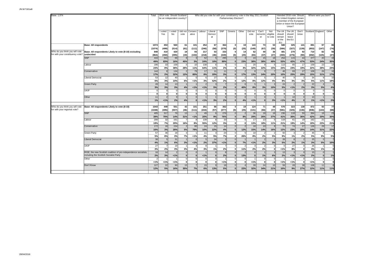| Base: 1,074                                                        |                                                                                                            | Total          |                     | 2014 vote: Should Scotland<br>be an independent country? |                 |                                  |                               |                          |                          | Who did you vote for with your constituency vote in the May 2011 Scottish<br>Parliamentary Election? |                      |                 |                            |                            |                                            | Intended 2016 vote: Should<br>the United Kingdom remain<br>a member of the European<br>Union or leave the European<br>Union? |               |                              | Where were you born?          |            |
|--------------------------------------------------------------------|------------------------------------------------------------------------------------------------------------|----------------|---------------------|----------------------------------------------------------|-----------------|----------------------------------|-------------------------------|--------------------------|--------------------------|------------------------------------------------------------------------------------------------------|----------------------|-----------------|----------------------------|----------------------------|--------------------------------------------|------------------------------------------------------------------------------------------------------------------------------|---------------|------------------------------|-------------------------------|------------|
|                                                                    |                                                                                                            |                | I voted<br>Yes      | I voted<br><b>No</b>                                     | did not<br>vote | Conserv<br>ative                 | Labour                        | Liberal<br>Democr<br>at  | SNP                      | Greens                                                                                               | Other                | Did not<br>vote | Can't<br>rememb<br>er      | Not<br>eligible<br>to vote | The UK<br>should<br>remain<br>in the<br>EU | The UK<br>should<br>leave<br>the EU                                                                                          | Don't<br>know | Scotland England             |                               | Other      |
|                                                                    | <b>Base: All respondents</b>                                                                               | 1074<br>(1074) | 453<br>(499)        | 560<br>(514)                                             | 61<br>(61)      | 101<br>(111)                     | 254<br>(246)                  | 67<br>(58)               | 364<br>(379)             | $\mathbf{0}$<br>(0)                                                                                  | 19<br>(25)           | 143<br>(149)    | 73<br>(67)                 | 53<br>(39)                 | 580<br>(584)                               | 325<br>(327)                                                                                                                 | 141<br>(139)  | 891<br>(853)                 | 97<br>(147)                   | 86<br>(74) |
| Who do you think you will vote<br>for with your constituency vote? | Base: All respondents Likely to vote (8-10) excluding<br>undecided                                         | 848<br>(864)   | 410<br>(450)        | 420<br>(395)                                             | 18<br>(19)      | 93<br>(102)                      | 217<br>(218)                  | 53<br>(46)               | 333<br>(349)             | $\mathbf{0}$<br>(0)                                                                                  | 14<br>(20)           | 62<br>(65)      | 40<br>(37)                 | 36<br>(27)                 | 481<br>(493)                               | 270<br>(276)                                                                                                                 | 92<br>(90)    | 710<br>(692)                 | 82<br>(125)                   | 56<br>(47) |
|                                                                    | <b>SNP</b>                                                                                                 | 416<br>49%     | 341<br>83%          | 66<br>16%                                                | 45%             | 3<br>3%                          | 52<br>24%                     | 10%                      | 295<br>89%               | $\sqrt{ }$<br>$\mathbf{0}$                                                                           | 23%                  | 24<br>38%       | 15<br>38%                  | 18<br>49%                  | 254<br>53%                                 | 115<br>42%                                                                                                                   | 44<br>47%     | 377<br>53%                   | 20<br>24%                     | 19<br>35%  |
|                                                                    | Labour                                                                                                     | 196<br>23%     | 33<br>8%            | 158<br>38%                                               | 28%             | 10<br>11%                        | 138<br>64%                    | 6<br>11%                 | 8<br>2%                  | C<br>0                                                                                               | 4%                   | 20<br>32%       | q<br>22%                   | 15%                        | 113<br>24%                                 | 65<br>24%                                                                                                                    | 17<br>19%     | 159<br>22%                   | 23<br>28%                     | 14<br>24%  |
|                                                                    | Conservative                                                                                               | 144<br>17%     | $\mathcal{F}$<br>2% | 134<br>32%                                               | 12%             | 79<br>85%                        | 17<br>8%                      | 11<br>20%                | 11<br>3%                 | $\sqrt{ }$<br>$\mathbf{0}$                                                                           | $\mathcal{P}$<br>17% | 13%             | 24%                        | 20%                        | 48<br>10%                                  | 69<br>25%                                                                                                                    | 27<br>29%     | 109<br>15%                   | 26<br>31%                     | 10<br>17%  |
|                                                                    | Liberal Democrat                                                                                           | 53<br>6%       | 12<br>3%            | 40<br>10%                                                | 6%              | $\Omega$<br>1%                   | 6<br>3%                       | 27<br>52%                | 6<br>2%                  | <b>C</b><br>$\Omega$                                                                                 | 12%                  | 8%              | 12%                        | 4%                         | 40<br>8%                                   | 9<br>3%<br>$\overline{2}$                                                                                                    | 3%            | 34<br>5%                     | $\alpha$<br>11%               | 10<br>18%  |
|                                                                    | <b>Green Party</b>                                                                                         | 28<br>3%       | 14<br>3%            | 13<br>3%                                                 | 4%              | 1%                               | $\overline{2}$<br>1%          | 5%                       | 2%                       | $\mathbf{0}$                                                                                         | $\epsilon$<br>40%    | 8%              | 3%                         | 10%                        | 24<br>5%                                   | 1%                                                                                                                           | 2%            | 22<br>3%                     | 5%                            | 4%         |
|                                                                    | UKIP                                                                                                       | n              | ſ                   | $\Omega$<br>0                                            |                 | $\Omega$<br>$\mathbf{0}$         | $\mathbf 0$<br>$\mathbf{0}$   | $\Omega$<br>$\mathbf{0}$ | $\Omega$<br>$\mathbf{0}$ | r<br>$\Omega$                                                                                        | $\Omega$<br>0        | $\Omega$        | $\Omega$                   |                            | $\mathbf 0$<br>$\mathbf{0}$                | $\mathbf 0$<br>$\mathbf{0}$                                                                                                  |               | $\mathbf{0}$<br>$\mathbf{0}$ | $\mathbf{0}$<br> 0            | $\Omega$   |
|                                                                    | Other                                                                                                      | 11<br>1%       | 1%                  | 9<br>2%                                                  | 4%              | $\Omega$<br>$\bf{0}$             | 1%                            | 3%                       | 6<br>2%                  | $\sqrt{ }$<br>$\mathbf{0}$                                                                           | $\Omega$<br>4%       | 1%              | $\Omega$<br>$\bf{0}$       | 3%                         | 1%                                         | 10<br>4%                                                                                                                     |               | 10<br>1%                     | 1%                            | 2%         |
| Who do you think you will vote<br>for with your regional vote?     | Base: All respondents Likely to vote (8-10)                                                                | 1043<br>(1048) | 449<br>(495)        | 551<br>(507)                                             | 42<br>(46)      | 101<br>(111)                     | 251<br>(244)                  | 66<br>(57)               | 362<br>(377)             | 0<br>(0)                                                                                             | 19<br>(25)           | 124<br>(131)    | 71<br>(66)                 | 48<br>(37)                 | 576<br>(581)                               | 323<br>(325)                                                                                                                 | 138<br>(136)  | 872<br>(836)                 | 93<br>(144)                   | 77<br>(68) |
|                                                                    | <b>SNP</b>                                                                                                 | 405<br>39%     | 317<br>70%          | 76<br>14%                                                | 13<br>31%       | 1%                               | 49<br>20%                     | 6<br>9%                  | 276<br>76%               | $\sqrt{ }$                                                                                           | 8%                   | 36<br>29%       | 18<br>26%                  | 18<br>37%                  | 236<br>41%                                 | 118<br>36%                                                                                                                   | 50<br>36%     | 364<br>42%                   | 18<br>20%                     | 23<br>30%  |
|                                                                    | Labour                                                                                                     | 200<br>19%     | 32<br>7%            | 161<br>29%                                               | 16%             | 8<br>8%                          | 139<br>55%                    | 8<br>12%                 | 10<br>3%                 | $\mathsf{C}$<br>O                                                                                    | $\Omega$<br>$\Omega$ | 17<br>13%       | 13<br>18%                  | 11%                        | 119<br>21%                                 | 61<br>19%                                                                                                                    | 19<br>14%     | 162<br>19%                   | 21<br>23%                     | 16<br>21%  |
|                                                                    | Conservative                                                                                               | 172<br>16%     | 16<br>3%            | 154<br>28%                                               | 5%              | 80<br>79%                        | 24<br>10%                     | 15<br>22%                | 14<br>4%                 |                                                                                                      | 12%                  | 18<br>15%       | 10<br>14%                  | 16%                        | 70<br>12%                                  | 74<br>23%                                                                                                                    | 27<br>20%     | 126<br>14%                   | 29<br>31%                     | 17<br>22%  |
|                                                                    | Green Party                                                                                                | 57<br>5%       | 36<br>8%            | 18<br>3%                                                 | 7%              | 1%                               | 11<br>4%                      | 5%                       | 24<br>7%                 | $\mathsf{C}$<br>£                                                                                    | 26%                  | 10<br>8%        | 2<br>2%                    | 5%                         | 50<br>9%                                   | 1%                                                                                                                           | 2%            | 45<br>5%                     | $\mathbf{R}$<br>9%            | 5%         |
|                                                                    | <b>Liberal Democrat</b>                                                                                    | 38<br>4%       | 1%                  | 31<br>6%                                                 | 3%              | $\Omega$<br>1%                   | 5<br>2%                       | 24<br>37%                | 3<br>1%                  |                                                                                                      | 7%                   | 1%              | $\overline{2}$<br>2%       | 3%                         | 28<br>5%                                   | $\mathbf{R}$<br>2%                                                                                                           | 1%            | 25<br>3%                     | $5\overline{5}$<br>5%         | 10%        |
|                                                                    | <b>UKIP</b>                                                                                                | 27<br>3%       | 2%                  | 19<br>3%                                                 | 3%              | $\mathbf{A}$<br>4%               | $\mathbf{8}$<br>3%            | 1%                       | $\overline{7}$<br>2%     | £                                                                                                    | 2<br>11%             | 2%              | $\overline{2}$<br>2%       |                            | $\Omega$<br>1%                             | 27<br>8%                                                                                                                     |               | 26<br>3%                     | 1%                            | ö          |
|                                                                    | RISE, the new Scottish coalition of pro-independence socialists,<br>including the Scottish Socialist Party | 16<br>2%       | 14<br>3%            | $\overline{2}$<br>1%                                     |                 | $\Omega$<br>$\Omega$<br>$\Omega$ | 1%                            | $\Omega$<br>$\mathbf{0}$ | $\mathbf{R}$<br>2%       |                                                                                                      | $\mathcal{P}$<br>13% |                 | 1%                         | 6%                         | 13<br>2%                                   | 1%                                                                                                                           | < 1%          | 15<br>2%                     | $\Omega$<br>$\Omega$          | 1%         |
|                                                                    | Other<br>Don't Know                                                                                        | < 1%<br>127    | 1%<br>22            | 1%<br>90                                                 | 15              | $\Omega$<br>$\overline{7}$       | $\mathbf 0$<br>$\Omega$<br>15 | $\Omega$<br>$\Omega$     | 1%<br>18                 | O<br>$\sqrt{ }$                                                                                      | $\Omega$<br>$\Omega$ | < 1%<br>39      | $\Omega$<br>$\Omega$<br>24 | 10                         | 1%<br>59                                   | $\overline{2}$<br>1%<br>28                                                                                                   | 38            | $\overline{2}$<br>1%<br>108  | $\circ$<br>$\mathbf{0}$<br>11 | $\Omega$   |
|                                                                    |                                                                                                            | 12%            | 5%                  | 16%                                                      | 35%             | 7%                               | 6%                            | 13%                      | 5%                       | $\sqrt{2}$                                                                                           | 22%                  | 32%             | 34%                        | 21%                        | 10%                                        | 9%                                                                                                                           | 27%           | 12%                          | 11%                           | 11%        |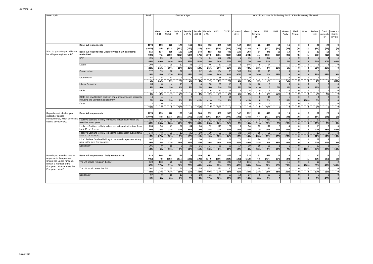| Base: 1,074                                                                            |                                                                                                            | Total          |                 |                          |                 | Gender X Age      |                   |                 | <b>SEG</b>   |                   |                          |              |                          |                              | Who did you vote for in the May 2015 UK Parliamentary Election? |                            |                          |                      |                 |                      |                                |
|----------------------------------------------------------------------------------------|------------------------------------------------------------------------------------------------------------|----------------|-----------------|--------------------------|-----------------|-------------------|-------------------|-----------------|--------------|-------------------|--------------------------|--------------|--------------------------|------------------------------|-----------------------------------------------------------------|----------------------------|--------------------------|----------------------|-----------------|----------------------|--------------------------------|
|                                                                                        |                                                                                                            |                |                 |                          |                 |                   |                   |                 |              |                   |                          |              |                          |                              |                                                                 |                            |                          |                      |                 |                      |                                |
|                                                                                        |                                                                                                            |                |                 |                          |                 |                   |                   |                 |              |                   |                          |              |                          |                              |                                                                 |                            |                          |                      |                 |                      |                                |
|                                                                                        |                                                                                                            |                | Male x<br>16-34 | Male x<br>35-54          | Male x<br>$55+$ | Female<br>x 16-34 | Female<br>x 35-54 | Female<br>x 55+ | ABC1         | C <sub>2</sub> DE | Conserv<br>ative         | Labour       | Liberal<br>Democr<br>at  | SNP                          | <b>UKIP</b>                                                     | Green<br>Party             | Plaid<br>Cymru           | Other                | Did not<br>vote | Can't<br>ememb<br>er | was not<br>eligible<br>to vote |
|                                                                                        |                                                                                                            |                |                 |                          |                 |                   |                   |                 |              |                   |                          |              |                          |                              |                                                                 |                            |                          |                      |                 |                      |                                |
|                                                                                        | <b>Base: All respondents</b>                                                                               | 1074<br>(1074) | 159<br>(85)     | 176<br>(213)             | 179<br>(193)    | 161<br>(173)      | 186<br>(219)      | 212<br>(191)    | 489<br>(626) | 585<br>(448)      | 142<br>(143)             | 232<br>(231) | 72<br>(47)               | 478<br>(477)                 | 14<br>(24)                                                      | 15<br>(31)                 | 0<br>(0)                 | 3<br>(2)             | 82<br>(84)      | 28<br>(26)           | 9<br>(9)                       |
| Who do you think you will vote<br>for with your regional vote?                         | Base: All respondents Likely to vote (8-10) excluding<br>undecided                                         | 916<br>(927)   | 137<br>(75)     | 155<br>(190)             | 169<br>(182)    | 124<br>(134)      | 148<br>(176)      | 183<br>(170)    | 430<br>(551) | 486<br>(376)      | 125<br>(133)             | 203<br>(204) | 64<br>(41)               | 446<br>(446)                 | 13<br>(23)                                                      | 14<br>(28)                 | 0<br>(0)                 | (1)                  | 29<br>(33)      | 13<br>(12)           | $\overline{7}$<br>(6)          |
|                                                                                        | <b>SNP</b>                                                                                                 | 405<br>44%     | 56<br>40%       | 68<br>44%                | 78<br>46%       | 65<br>53%         | 75<br>51%         | 64<br>35%       | 162<br>38%   | 243<br>50%        | 5<br>4%                  | 15<br>7%     | 6<br>9%                  | 362<br>81%                   | $\Omega$<br>$\mathbf{0}$                                        | 7%                         | $\Omega$<br>$\bf{0}$     | $\bf{0}$             | 30%             | 30%                  | $\overline{4}$<br>60%          |
|                                                                                        | abour                                                                                                      | 200<br>22%     | 34<br>25%       | 29<br>19%                | 30<br>18%       | 33<br>26%         | 27<br>19%         | 46<br>25%       | 87<br>20%    | 113<br>23%        | <sub>q</sub><br>8%       | 146<br>72%   | 13%                      | 24<br>5%                     | 15%                                                             | 6%                         | $\Omega$<br>$\bf{0}$     |                      | 21%             | 23%                  | $\Omega$<br>$\Omega$           |
|                                                                                        | Conservative                                                                                               | 172<br>19%     | 19<br>14%       | 26<br>17%                | 37<br>22%       | 15<br>12%         | 32<br>22%         | 43<br>24%       | 104<br>24%   | 68<br>14%         | 100<br>80%               | 23<br>11%    | 22<br>34%                | 10<br>2%                     | 3<br>22%                                                        | $\Omega$<br>$\mathbf{0}$   | $\Omega$<br>$\bf{0}$     | $\Omega$             | 22%             | 42%                  | 19%                            |
|                                                                                        | <b>Green Party</b>                                                                                         | 57<br>6%       | 15<br>11%       | 13<br>8%                 | 4%              | 5%                | 3%                | 12<br>7%        | 35<br>8%     | 21<br>4%          | $\overline{2}$<br>2%     | 4%           | 3%                       | 30<br>7%                     | $\Omega$<br>$\mathbf 0$                                         | 10<br>75%                  | $\Omega$<br>$\mathbf{0}$ |                      | 5%              |                      | 2<br>20%                       |
|                                                                                        | Liberal Democrat                                                                                           | 38<br>4%       | 6%              | $\overline{4}$<br>3%     | 10<br>6%        | 2%                | 2%                | 10<br>5%        | 23<br>5%     | 15<br>3%          | 3<br>3%                  | 5<br>2%      | 26<br>41%                | $\mathbf{0}$<br>$\mathbf{0}$ | $\Omega$<br>3%                                                  | 1%                         | $\Omega$<br>$\bf{0}$     | $\Omega$             | 10%             | $\Omega$<br>$\Omega$ | $\mathbf 0$<br>$\mathbf{0}$    |
|                                                                                        | <b>UKIP</b>                                                                                                | 27<br>3%       | 2<br>2%         | 12<br>7%                 | 2%              | $\mathsf{C}$<br>0 | 2%                | 3%              | 12<br>3%     | 15<br>3%          | 3%                       | 6<br>3%      | $\Omega$<br>$\mathbf{0}$ | 6<br>1%                      | -8<br>60%                                                       | $^{\circ}$<br>$\mathbf{0}$ | $\Omega$<br>0            | $\Omega$<br>$\Omega$ | 7%              | 4%                   | $\Omega$<br>$\mathbf 0$        |
|                                                                                        | RISE, the new Scottish coalition of pro-independence socialists,<br>including the Scottish Socialist Party | 16<br>2%       | 3%              | $\overline{4}$<br>3%     | 3<br>2%         | 2%                | 1%                | 1%              | 1%           | 11<br>2%          | $\overline{0}$           | 1%           | $\Omega$                 | 11<br>3%                     | $\mathbf{0}$<br>$\Omega$                                        | 11%                        | $\Omega$<br>$\Omega$     | 100%                 | 3%              | $\Omega$<br>$\Omega$ | $\mathbf 0$<br>$\bf{0}$        |
|                                                                                        | Other                                                                                                      | 1%             | 0               | $\Omega$<br>$\mathbf{0}$ | 1%              | $\mathbf 0$       | < 1%              | $\mathbf 0$     | 1%           |                   | $\Omega$<br>$\mathbf{0}$ | ö            | $\mathbf 0$              | 1%                           | $\mathbf{0}$                                                    | $\mathbf 0$                | c<br>$\pmb{0}$           | $\mathbf{0}$         | 3%              | n<br>0               | $\Omega$<br>$\bf{0}$           |
|                                                                                        |                                                                                                            |                |                 |                          |                 |                   |                   |                 |              |                   |                          |              |                          |                              |                                                                 |                            |                          |                      |                 |                      |                                |
| Regardless of whether you<br>support or oppose                                         | <b>Base: All respondents</b>                                                                               | 1074<br>(1074) | 159<br>(85)     | 176<br>(213)             | 179<br>(193)    | 161<br>(173)      | 186<br>(219)      | 212<br>(191)    | 489<br>(626) | 585<br>(448)      | 142<br>(143)             | 232<br>(231) | 72<br>(47)               | 478<br>(477)                 | 14<br>(24)                                                      | 15<br>(31)                 | 0<br>(0)                 | (2)                  | 82<br>(84)      | 28<br>(26)           | 9<br>(9)                       |
| independence, which of these<br>closest to your view?                                  | believe Scotland is likely to become independent within the<br>next five to ten years                      | 324<br>30%     | 48<br>30%       | 49<br>28%                | 71<br>40%       | 43<br><b>27%</b>  | 61<br>33%         | 52<br>25%       | 128<br>26%   | 196<br>34%        | 13<br>9%                 | 34<br>15%    | $\mathbf{a}$<br>11%      | 251<br>53%                   | 6%                                                              | 20%                        | $\Omega$<br>$\bf{0}$     |                      | 12<br>15%       | 2%                   | 8%                             |
|                                                                                        | believe Scotland is likely to become independent but not for at<br>least 10 or 15 years                    | 234<br>22%     | 36<br>22%       | 41<br>23%                | 37<br>21%       | 34<br>21%         | 34<br>18%         | 52<br>25%       | 113<br>23%   | 121<br>21%        | 19<br>14%                | 54<br>23%    | 12<br>17%                | 112<br>24%                   | 14%                                                             | 27%                        | $\Omega$<br>$\mathbf 0$  | $\Omega$             | 18<br>22%       | 25%                  | 5<br>53%                       |
|                                                                                        | believe Scotland is likely to become independent but not for at<br>east 20 or 30 years                     | 144<br>13%     | 43<br>27%       | 21<br>12%                | 16<br>9%        | 25<br>15%         | 20<br>11%         | 19<br>9%        | 63<br>13%    | 81<br>14%         | 23<br>16%                | 32<br>14%    | 18<br>25%                | 51<br>11%                    | 13%                                                             | 23%                        | $\Omega$<br>$\bf{0}$     | n                    | 10<br>12%       | 11%                  | $\overline{2}$<br>16%          |
|                                                                                        | don't believe Scotland is likely to become independent at any<br>point in the next few decades             | 267<br>25%     | 23<br>14%       | 47<br>27%                | 50<br>28%       | 37<br>23%         | 50<br>27%         | 61<br>29%       | 146<br>30%   | 121<br>21%        | 70<br>49%                | 92<br>40%    | 24<br>34%                | 38<br>8%                     | $\mathbf{R}$<br>58%                                             | 22%                        | $\Omega$<br>$\mathbf 0$  | $\Omega$             | 22<br>27%       | 32%                  | 8%                             |
|                                                                                        | Don't know                                                                                                 | 105<br>10%     | 6%              | 19<br>11%                | 3%              | 23<br>14%         | 21<br>11%         | 27<br>13%       | 39<br>8%     | 65<br>11%         | 17<br>12%                | 19<br>8%     | 10<br>13%                | 25<br>5%                     | 10%                                                             | 7%                         | $\Omega$<br>$\mathbf{r}$ | 100%                 | 20<br>24%       | 30%                  | 16%                            |
|                                                                                        |                                                                                                            |                |                 |                          |                 |                   |                   |                 |              |                   |                          |              |                          |                              |                                                                 |                            |                          |                      |                 |                      |                                |
| How do you intend to vote in<br>response to the question:<br>Should the United Kingdom | Base: All respondents Likely to vote (8-10)                                                                | 918<br>(930)   | 146<br>(78)     | 151<br>(183)             | 161<br>(177)    | 118<br>(131)      | 159<br>(191)      | 182<br>(170)    | 442<br>(565) | 476<br>(365)      | 130<br>(133)             | 215<br>(213) | 63<br>(43)               | 429<br>(434)                 | 14<br>(24)                                                      | 14<br>(27)                 | $\bf{0}$<br>(0)          | (1)                  | 30<br>(36)      | 19<br>(17)           | $\overline{2}$<br>(2)          |
| remain a member of the<br>European Union or leave the                                  | The UK should remain in the EU                                                                             | 520<br>57%     | 113<br>77%      | 76<br>51%                | 90<br>56%       | 86<br>73%         | 76<br>48%         | 79<br>43%       | 277<br>63%   | 243<br>51%        | 52<br>40%                | 116<br>54%   | 44<br>70%                | 268<br>62%                   | $\overline{2}$<br>15%                                           | 11<br>79%                  | $\Omega$<br>$\mathbf{0}$ | 100%                 | 17<br>55%       | 8<br>42%             | $\overline{2}$<br>100%         |
| European Union?                                                                        | The UK should leave the EU                                                                                 | 301<br>33%     | 25<br>17%       | 65<br>43%                | 61<br>38%       | 23<br>19%         | 55<br>35%         | 73<br>40%       | 121<br>27%   | 180<br>38%        | 64<br>49%                | 72<br>34%    | 14<br>23%                | 122<br>28%                   | 12<br>85%                                                       | 21%                        | $\Omega$<br>$\mathbf{0}$ |                      | 11<br>37%       | 13%                  | $\Omega$<br>$\mathbf{0}$       |
|                                                                                        | Don't know                                                                                                 | 97<br>11%      | 6%              | 10<br>6%                 | 10<br>6%        | 8%                | 28<br>18%         | 31<br>17%       | 44<br>10%    | 53<br>11%         | 14<br>11%                | 27<br>13%    | 8%                       | 39<br>9%                     | $\Omega$<br>$\mathbf{0}$                                        | $\Omega$<br>$\mathbf{0}$   | $\Omega$<br>$\bf{0}$     |                      | 9%              | 45%                  | $\Omega$<br>$\mathbf 0$        |
|                                                                                        |                                                                                                            |                |                 |                          |                 |                   |                   |                 |              |                   |                          |              |                          |                              |                                                                 |                            |                          |                      |                 |                      |                                |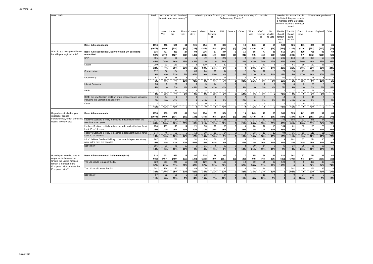| Base: 1,074                                            |                                                                                                            | Total         |                      | 2014 vote: Should Scotland<br>be an independent country? |                 |                      |              | Who did you vote for with your constituency vote in the May 2011 Scottish |              | Parliamentary Election?        |                                 |                 |                       |                            |                                             | Intended 2016 vote: Should<br>the United Kingdom remain<br>a member of the European<br>Union or leave the Europear<br>Union? |               |                  | Where were you born?     |                               |
|--------------------------------------------------------|------------------------------------------------------------------------------------------------------------|---------------|----------------------|----------------------------------------------------------|-----------------|----------------------|--------------|---------------------------------------------------------------------------|--------------|--------------------------------|---------------------------------|-----------------|-----------------------|----------------------------|---------------------------------------------|------------------------------------------------------------------------------------------------------------------------------|---------------|------------------|--------------------------|-------------------------------|
|                                                        |                                                                                                            |               | I voted<br>Yes       | voted<br>No                                              | did not<br>vote | Conserv<br>ative     | Labour       | Liberal<br>Democr<br>at                                                   | SNP          | Greens                         | Other                           | Did not<br>vote | Can't<br>rememb<br>er | Not<br>eligible<br>to vote | The UK<br>should<br>remain<br>in the<br>EU. | The Ur<br>should<br>leave<br>the EU                                                                                          | Don't<br>know | Scotland England |                          | Other                         |
|                                                        | <b>Base: All respondents</b>                                                                               | 1074          | 453                  | 560                                                      | 61              | 101                  | 254          | 67                                                                        | 364          | $\mathbf{0}$                   | 19                              | 143             | 73                    | 53                         | 580                                         | 325                                                                                                                          | 141           | 891              | 97                       | 86                            |
| Who do you think you will vote                         | Base: All respondents Likely to vote (8-10) excluding                                                      | (1074)<br>916 | (499)<br>427         | (514)<br>461                                             | (61)<br>27      | (111)<br>94          | (246)<br>236 | (58)<br>57                                                                | (379)<br>344 | (0)<br>$\mathbf{0}$            | (25)<br>15                      | (149)<br>85     | (67)<br>47            | (39)<br>38                 | (584)<br>516                                | (327)<br>295                                                                                                                 | (139)<br>100  | (853)<br>765     | (147)<br>83              | (74)<br>69                    |
| for with your regional vote?                           | undecided                                                                                                  | (927)         | (470)                | (427)                                                    | (30)            | (105)                | (230)        | (49)                                                                      | (358)        | (0)                            | (21)                            | (92)            | (42)                  | (30)                       | (525)                                       | (300)                                                                                                                        | (97)          | (742)            | (128)                    | (57)                          |
|                                                        | SNP                                                                                                        | 405<br>44%    | 317<br>74%           | 76<br>16%                                                | 13<br>48%       |                      | 49<br>21%    | 6<br>11%                                                                  | 276<br>80%   | $\Omega$<br>$\Omega$           | $\overline{\phantom{a}}$<br>11% | 36<br>42%       | 18<br>39%             | 18<br>47%                  | 236<br>46%                                  | 118<br>40%                                                                                                                   | 50<br>50%     | 364<br>48%       | 18<br>22%                | 23<br>33%                     |
|                                                        | Labour                                                                                                     | 200           | 32                   | 161                                                      |                 | 1%<br>8              | 139          | 8                                                                         | 10           |                                | $\Omega$                        | 17              | 13                    |                            | 119                                         | 61                                                                                                                           | 19            | 162              | 21                       | 16                            |
|                                                        |                                                                                                            | 22%           | 7%                   | 35%                                                      | 25%             | 8%                   | 59%          | 14%                                                                       | 3%           | $\mathbf{0}$                   | $\mathbf{0}$                    | 20%             | 27%                   | 14%                        | 23%                                         | 21%                                                                                                                          | 19%           | 21%              | 26%                      | 24%                           |
|                                                        | Conservative                                                                                               | 172<br>19%    | 16<br>4%             | 154<br>33%                                               | 8%              | 80<br>85%            | 24<br>10%    | 15<br>25%                                                                 | 14<br>4%     |                                | 16%                             | 18<br>21%       | 10<br>22%             | 21%                        | 70<br>13%                                   | 74<br>25%                                                                                                                    | 27<br>27%     | 126<br>16%       | 29<br>35%                | 17<br>25%                     |
|                                                        | <b>Green Party</b>                                                                                         | 57            | 36                   | 18                                                       |                 |                      | 11           | 3                                                                         | 24           |                                |                                 | 10              |                       |                            | 50                                          |                                                                                                                              |               | 45               | £                        |                               |
|                                                        |                                                                                                            | 6%            | 8%                   | 4%                                                       | 10%             | 1%                   | 4%           | 6%                                                                        | 7%           | $\Omega$                       | 33%                             | 11%             | 3%                    | 6%                         | 10%                                         | 1%                                                                                                                           | 2%            | 6%               | 10%                      | 6%                            |
|                                                        | <b>Liberal Democrat</b>                                                                                    | 38<br>4%      | $\overline{5}$<br>1% | 31                                                       |                 | $\Omega$             | 5            | 24<br>42%                                                                 | 1%           | $\Omega$                       | 9%                              | 1%              | $\overline{2}$<br>3%  |                            | 28<br>5%                                    | 8<br>3%                                                                                                                      | 2%            | 25<br>3%         | F<br>6%                  | 11%                           |
|                                                        | <b>UKIP</b>                                                                                                | 27            |                      | 7%<br>19                                                 | 4%              | 1%                   | 2%           |                                                                           |              |                                |                                 |                 |                       | 4%                         | $\sqrt{2}$                                  | 27                                                                                                                           |               | 26               |                          | $\Omega$                      |
|                                                        |                                                                                                            | 3%            | 2%                   | 4%                                                       | 5%              | 4%                   | 3%           | 2%                                                                        | 2%           |                                | 14%                             | 4%              | 3%                    |                            | 1%                                          | 9%                                                                                                                           |               | 3%               | 1%                       | $\mathbf{0}$                  |
|                                                        | RISE, the new Scottish coalition of pro-independence socialists.<br>including the Scottish Socialist Party | 16            | 14<br>3%             | $\overline{2}$                                           |                 | $\Omega$<br>$\Omega$ |              | $\Omega$                                                                  |              |                                |                                 | $\Omega$        | 2%                    |                            | 13                                          | $\overline{3}$                                                                                                               |               | 15<br>2%         | $\Omega$                 |                               |
|                                                        | Other                                                                                                      | 2%            |                      | 1%                                                       |                 | $\Omega$             | 1%<br>C      | $\mathbf{0}$<br>$\Omega$                                                  | 2%           |                                | 17%<br>$\Omega$                 | $\Omega$        | $\Omega$              | 8 <sup>o</sup>             | 2%<br>$\overline{1}$                        | 1%<br>$\overline{2}$                                                                                                         | 1%            | $\overline{2}$   | $\mathbf{0}$<br>$\Omega$ | 2%<br>$\Omega$                |
|                                                        |                                                                                                            | 1%            | 1%                   | 1%                                                       | $\Omega$        | $\mathbf 0$          | $\Omega$     | $\mathbf 0$                                                               | 1%           | $\mathbf{0}$                   | $\mathbf{0}$                    | 1%              | $\mathbf{0}$          |                            | 1%                                          | 1%                                                                                                                           | $\Omega$      | 1%               | 0                        | ō                             |
| Regardless of whether you                              | <b>Base: All respondents</b>                                                                               | 1074          | 453                  | 560                                                      | 61              | 101                  | 254          | 67                                                                        | 364          | $\sqrt{ }$                     | 19                              | 143             | 73                    | 53                         | 580                                         | 325                                                                                                                          | 141           | 891              | 97                       | 86                            |
| support or oppose                                      |                                                                                                            | (1074)        | (499)                | (514)                                                    | (61)            | (111)                | (246)        | (58)                                                                      | (379)        | (0)                            | (25)                            | (149)           | (67)                  | (39)                       | (584)                                       | (327)                                                                                                                        | (139)         | (853)            | (147)                    | (74)                          |
| closest to your view?                                  | independence, which of these is I believe Scotland is likely to become independent within the              | 324           | 254                  | 54                                                       | 16              | 11                   | 52           | 8                                                                         | 188          | $\Omega$                       |                                 | 37              | 11                    | 13                         | 186                                         | 102                                                                                                                          | 32            | 275              | 24                       | 25                            |
|                                                        | next five to ten years<br>I believe Scotland is likely to become independent but not for at                | 30%<br>234    | 56%<br>107           | 10%<br>113                                               | 26%<br>14       | 11%<br>21            | 21%<br>53    | 12%<br>13                                                                 | 52%<br>90    | $\Omega$                       | 21%<br>5                        | 26%<br>20       | 15%<br>16             | 25%<br>16                  | 32%<br>134                                  | 31%<br>61                                                                                                                    | 23%<br>32     | 31%<br>195       | 24%<br>20                | 29%<br>19                     |
|                                                        | least 10 or 15 years                                                                                       | 22%           | 24%                  | 20%                                                      | 23%             | 20%                  | 21%          | 19%                                                                       | 25%          | $\mathbf{0}$                   | 26%                             | 14%             | 22%                   | 30%                        | 23%                                         | 19%                                                                                                                          | 23%           | 22%              | 21%                      | 22%                           |
|                                                        | believe Scotland is likely to become independent but not for at                                            | 144           | 46                   | 89                                                       |                 | 12                   | 39           | 11                                                                        | 34           |                                |                                 | 23              | 13                    | 10                         | 94                                          | 35                                                                                                                           | 13            | 111              | 11                       | 23                            |
|                                                        | least 20 or 30 years<br>I don't believe Scotland is likely to become independent at any                    | 13%<br>267    | 10%<br>23            | 16%<br>232                                               | 14%<br>12       | 12%<br>51            | 15%<br>89    | 16%<br>30                                                                 | 9%<br>33     |                                | 15%                             | 16%<br>33       | 18%<br>19             | 19%                        | 16%<br>119                                  | 11%<br>101                                                                                                                   | 9%<br>37      | 12%<br>224       | 11%<br>30                | <b>26%</b><br>$\overline{13}$ |
|                                                        | point in the next few decades                                                                              | 25%           | 5%                   | 42%                                                      | <b>20%</b>      | 51%                  | 35%          | 44%                                                                       | 9%           | $\Omega$                       | 27%                             | 23%             | 26%                   | 14%                        | 21%                                         | 31%                                                                                                                          | 26%           | 25%              | 31%                      | 15%                           |
|                                                        | Don't know                                                                                                 | 105           | 23                   | 71                                                       | 10              | 6                    | 21           | 6                                                                         | 20           | $\Omega$                       |                                 | 30              | 14                    |                            | 46                                          | 24                                                                                                                           | 28            | 86               | 12                       |                               |
|                                                        |                                                                                                            | 10%           | 5%                   | 13%                                                      | 17%             | 6%                   | 8%           | 9%                                                                        | 6%           |                                | 10%                             | 21%             | 19%                   | 119                        | 8%                                          | 8%                                                                                                                           | 20%           | 10%              | 13%                      | 8%                            |
| How do you intend to vote in                           | Base: All respondents Likely to vote (8-10)                                                                | 918           | 421                  | 480                                                      | 18              | 97                   | 228          | 58                                                                        | 343          | n                              | 17                              | 85              | 50                    | 41                         | 520                                         | 301                                                                                                                          | 97            | 771              | 85                       | 62                            |
| response to the question:<br>Should the United Kingdom |                                                                                                            | (930)         | (457)                | (450)                                                    | (23)            | (107)                | (226)        | (50)                                                                      | (357)        | (0)                            | (22)                            | (90)            | (48)                  | (30)                       | (529)                                       | (306)                                                                                                                        | (95)          | (744)            | (130)                    | (56)                          |
| remain a member of the                                 | The UK should remain in the EU                                                                             | 520<br>57%    | 261<br>62%           | 245<br>51%                                               | 15<br>81%       | 34<br>36%            | 129<br>57%   | 42<br>72%                                                                 | 199<br>58%   | $\overline{0}$<br>$\mathbf{0}$ | 10<br>57%                       | 50<br>58%       | 25<br>51%             | 32<br>78%                  | 520<br>100%                                 | $\mathbf{0}$<br>$\mathbf{0}$                                                                                                 |               | 429<br>56%       | 46<br>54%                | 46<br><b>74%</b>              |
| European Union or leave the<br>European Union?         | The UK should leave the EU                                                                                 | 301           | 128                  | 170                                                      |                 | 49                   | 76           | 12                                                                        | 110          |                                | 6                               | 29              | 14                    |                            |                                             | 301                                                                                                                          |               | 256              | 35                       | 10                            |
|                                                        |                                                                                                            | 33%           | 30%                  | 35%                                                      | 17%             | 51%                  | 34%          | 21%                                                                       | 32%          |                                | 33%                             | 34%             | 27%                   | 13%                        | $\mathbf 0$                                 | 100%                                                                                                                         |               | 33%              | 41%                      | 17%                           |
|                                                        | Don't know                                                                                                 | 97<br>11%     | 32<br>8%             | 65<br>13%                                                | 2%              | 13<br>14%            | 23<br>10%    | 7%                                                                        | 34<br>10%    |                                | 11%                             | 8%              | 11<br>22%             | 9 <sup>°</sup>             | $\Omega$<br>$\bf{0}$                        | $\Omega$<br>$\mathbf{0}$                                                                                                     | 97<br>100%    | 86<br>11%        | 6%                       | 10%                           |
|                                                        |                                                                                                            |               |                      |                                                          |                 |                      |              |                                                                           |              |                                |                                 |                 |                       |                            |                                             |                                                                                                                              |               |                  |                          |                               |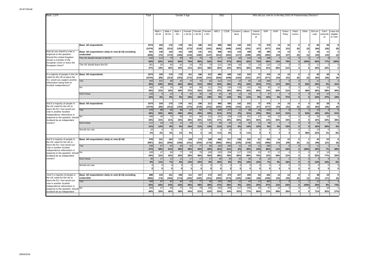| Base: 1,074                                                                                   |                                                                           | Total               |                   |                    | Gender X Age         |                       |                    |                    | <b>SEG</b>               |                     |                    |                         |                         |                     |                              | Who did you vote for in the May 2015 UK Parliamentary Election? |                                         |       |                  |                       |                                |
|-----------------------------------------------------------------------------------------------|---------------------------------------------------------------------------|---------------------|-------------------|--------------------|----------------------|-----------------------|--------------------|--------------------|--------------------------|---------------------|--------------------|-------------------------|-------------------------|---------------------|------------------------------|-----------------------------------------------------------------|-----------------------------------------|-------|------------------|-----------------------|--------------------------------|
|                                                                                               |                                                                           |                     | Male x<br>16-34   | Male ><br>35-54    | Male<br>$55+$        | Female<br>x 16-34     | Female<br>x 35-54  | Female<br>x 55+    | ABC1                     | C <sub>2</sub> DE   | Conserv<br>ative   | Labour                  | Liberal<br>Democr<br>at | SNP                 | UKIP                         | Green<br>Party                                                  | Plaid<br>Cymru                          | Other | Did not<br>vote  | Can't<br>rememb<br>er | was not<br>eligible<br>to vote |
|                                                                                               | <b>Base: All respondents</b>                                              | 107<br>(1074)       | 159<br>(85)       | 176<br>(213)       | 179<br>(193)         | 161<br>(173)          | 186<br>(219)       | 212<br>(191)       | 489<br>(626)             | 585<br>(448)        | 142<br>(143)       | 232<br>(231)            | 72<br>(47)              | 478<br>(477)        | 14<br>(24)                   | 15<br>(31)                                                      | $\Omega$<br>(0)                         | (2)   | 82<br>(84)       | 28<br>(26)            | (9)                            |
| How do you intend to vote in<br>response to the question:                                     | Base: All respondents Likely to vote (8-10) excluding<br>undecided        | 821<br>(835)        | 138<br>(72)       | 142<br>(172)       | 151<br>(166)         | 109<br>(118)          | 131<br>(160)       | 151<br>(147)       | 398<br>(513)             | 423<br>(322)        | 116<br>(117)       | 188<br>(189)            | 58<br>(39)              | 390<br>(393)        | 14<br>(24)                   | 14<br>(27)                                                      | $\mathbf{0}$<br>(0)                     | (1)   | 28<br>(33)       | 11<br>(10)            | 2<br>(2)                       |
| Should the United Kingdom<br>remain a member of the<br>European Union or leave the            | The UK should remain in the EU                                            | 520<br>63%          | 113<br>82%        | 76<br>54%          | 90<br>60%            | 86<br>79%             | 76<br>58%          | 79<br>52%          | 277<br>70%               | 243<br>57%          | 52<br>45%          | 116<br>62%              | 44<br>75%               | 268<br>69%          | $\overline{2}$<br>15%        | 11<br>79%                                                       | $\mathbf{0}$                            | 100%  | 17<br>60%        | 77%                   | $\overline{2}$<br>100%         |
| European Union?                                                                               | The UK should leave the EU                                                | 301<br>37%          | 25<br>18%         | 65<br>46%          | 61<br>40%            | 23<br>21%             | 55<br>42%          | 73<br>48%          | 121<br>30%               | 180<br>43%          | 64<br>55%          | 72<br>38%               | 14<br>25%               | 122<br>31%          | 12<br>85%                    | 3<br>21%                                                        | $\Omega$<br>$\mathbf{0}$                |       | 11<br>40%        | 23%                   | $\Omega$<br>$\mathbf 0$        |
| If a majority of people in the UK<br>voted for the UK to leave the                            | <b>Base: All respondents</b>                                              | 1074<br>(1074       | 159<br>(85)       | 176<br>(213)       | 179<br>(193)         | 161<br>(173)          | 186<br>(219)       | 212<br>(191)       | 489<br>(626)             | 585<br>(448)        | 142<br>(143)       | 232<br>(231)            | 72<br>(47)              | 478<br>(477)        | 14<br>(24)                   | 15<br>(31)                                                      | $\mathbf{0}$<br>(0)                     | (2)   | 82<br>(84)       | 28<br>(26)            | 9<br>(9)                       |
| EU, would you support another<br>referendum being held on<br>Scottish independence?           | Yes                                                                       | 483<br>45%          | 101<br>63%        | 88<br>50%          | 82<br>46%            | 75<br>46%             | 76<br>41%          | 62<br>29%          | 212<br>43%               | 271<br>46%          | 12<br>8%           | 55<br>24%               | 16<br>22%               | 366<br>77%          | $\mathcal{P}$<br>11%         | $\epsilon$<br>42%                                               | $\Omega$<br>$\mathbf{0}$                | 52%   | 21<br>25%        | 5%                    | $\overline{4}$<br>41%          |
|                                                                                               | No                                                                        | 462<br>43%          | 49<br>31%         | 74<br>42%          | 88<br>49%            | 60<br>37%             | 80<br>43%          | 111<br>52%         | 232<br>47%               | 230<br>39%          | 118<br>84%         | 152<br>65%              | 49<br>69%               | 65<br>14%           | 12<br>84%                    | 21%                                                             | $\mathbf{0}$                            | 48%   | 41<br>50%        | 16<br>58%             | $\Delta$<br>40%                |
|                                                                                               | Don't know                                                                | 129<br>12%          | 9<br>6%           | 14<br>8%           | 5%                   | 26<br>16%             | 30<br>16%          | 40<br>19%          | 44<br>9%                 | 85<br>14%           | 12<br>8%           | 26<br>11%               | 9%                      | 47<br>10%           | 5%                           | 6<br>37%                                                        | $\Omega$<br>$\mathbf{0}$                |       | 20<br>24%        | 10<br>37%             | $\overline{c}$<br>19%          |
| And if a majority of people in<br>the UK voted for the UK to                                  | <b>Base: All respondents</b>                                              | 1074<br>(1074       | 159<br>(85)       | 176<br>(213)       | 179<br>(193)         | 161<br>(173)          | 186<br>(219)       | 212<br>(191)       | 489<br>(626)             | 585<br>(448)        | 142<br>(143)       | 232<br>(231)            | 72<br>(47)              | 478<br>(477)        | 14<br>(24)                   | 15<br>(31)                                                      | $\mathbf{0}$<br>(0)                     | (2)   | 82<br>(84)       | 28<br>(26)            | 9<br>(9)                       |
| leave the EU, how would you<br>vote in another Scottish<br>independence referendum in         | Yes                                                                       | 476<br>44%          | 88<br>55%         | 85<br>48%          | 86<br>48%            | 67<br>42%             | 81<br>43%          | 71<br>33%          | 200<br>41%               | 277<br>47%          | 11<br>8%           | 48<br>21%               | 14<br>19%               | 370<br>78%          | $\overline{2}$<br>11%        | $\mathbf{g}$<br>51%                                             | $\Omega$<br>$\mathbf{0}$                | 52%   | 15<br>18%        | 3<br>10%              | 5<br>51%                       |
| response to the question: should<br>Scotland be an independent<br>country?                    | No<br>Don't know                                                          | 458<br>43%<br>117   | 49<br>31%<br>18   | 72<br>41%<br>13    | 80<br>45%<br>11      | 61<br>38%<br>26       | 84<br>45%<br>21    | 112<br>53%<br>27   | 231<br>47%<br>55         | 228<br>39%<br>62    | 119<br>84%<br>12   | 151<br>65%<br>32        | 47<br>65%<br>11         | 69<br>14%<br>38     | 12<br>84%                    | 5 <sup>1</sup><br>34%<br>$\overline{2}$                         | $\Omega$<br>$\mathbf{0}$<br>$\mathbf 0$ |       | 35<br>42%<br>13  | 18<br>63%             | 3<br>38%<br>$\mathbf 0$        |
|                                                                                               | Would not vote                                                            | 11%<br>22           | 12%               | 8%<br>6            | 6%<br>$\overline{2}$ | 16%<br>$\overline{7}$ | 11%                | 13%                | 11%                      | 11%<br>18           | 8%<br>$\Omega$     | 14%                     | 15%<br>$^{\circ}$       | 8%<br>$\mathbf 0$   | 5%<br>$\mathbf 0$            | 15%<br>$\Omega$                                                 | $\mathbf{0}$<br>$\Omega$                |       | 16%<br>19        | 26%<br>n              | 3%                             |
|                                                                                               |                                                                           | 2%                  | 2%                | 3%                 | 1%                   | 4%                    | $\mathbf 0$        | 1%                 | 1%                       | 3%                  | $\mathbf 0$        | 1%                      | $\mathbf 0$             | $\mathbf 0$         | $\mathbf 0$                  | $\mathbf{0}$                                                    | $\mathbf{0}$                            | 48%   | 23%              | 1%                    | 8%                             |
| And if a majority of people in<br>the UK voted for the UK to<br>leave the EU, how would you   | Base: All respondents Likely to vote (8-10)                               | 976<br>(987)        | 151<br>(81)       | 163<br>(200)       | 171<br>(186)         | 128<br>(141)          | 173<br>(204)       | 189<br>(175)       | 459<br>(586)             | 517<br>(401)        | 138<br>(139)       | 222<br>(219)            | 61<br>(42)              | 454<br>(460)        | 14<br>(24)                   | 15<br>(29)                                                      | $\mathbf{0}$<br>(0)                     | (1)   | 43<br>(46)       | 23<br>(21)            | 6<br>(6)                       |
| vote in another Scottish<br>independence referendum in                                        | Yes                                                                       | 458<br>47%<br>428   | 87<br>58%<br>47   | 82<br>51%<br>69    | 84<br>49%<br>77      | 62<br>48%<br>50       | 77<br>44%<br>79    | 66<br>35%<br>106   | 193<br><b>42%</b><br>220 | 265<br>51%<br>208   | 11<br>8%<br>117    | 44<br>20%<br>150        | 11<br>18%<br>43         | 365<br>80%<br>57    | $\overline{2}$<br>11%<br>12  | $\mathbf{8}$<br>54%                                             | $\Omega$<br>$\bf{0}$<br>$\Omega$        | 100%  | 11<br>25%<br>27  | 7%<br>18              | $\mathbf{A}$<br>69%            |
| response to the question: should<br>Scotland be an independent<br>country?                    | No<br>Don't know                                                          | 44%<br>90           | 31%<br>17         | 42%<br>12          | 45%<br>11            | 39%<br>17             | 46%<br>17          | 56%<br>17          | 48%<br>46                | 40%<br>45           | 85%<br>10          | 68%<br>28               | 70%<br>8                | 12%<br>32           | 84%                          | 31%<br>$\overline{2}$                                           | $\mathbf{0}$<br>$\Omega$                |       | 62%              | 77%                   | 25%<br>$\overline{0}$          |
|                                                                                               | Would not vote                                                            | 9%                  | 11%<br>$\Omega$   | 7%<br>$\mathbf 0$  | 6%                   | 13%                   | 10%<br>$\Omega$    | 9%                 | 10%                      | 9%                  | 8%<br>$^{\circ}$   | 13%<br>$^{\circ}$       | 12%<br>0                | 7%<br>0             | 5%<br>$\mathbf 0$            | 16%<br>$\Omega$                                                 | $\Omega$<br>$\Omega$                    |       | 13%<br>ſ         | 16%<br>$\Omega$       | 6%<br>$\mathbf 0$              |
|                                                                                               |                                                                           |                     | $\mathbf 0$       | ¨o⊺                | $\mathbf{0}$         | $\overline{0}$        | $\mathbf{0}$       | ō                  | $\mathbf{0}$             | $\mathbf{0}$        | $\mathbf 0$        | $\overline{\mathbf{0}}$ | $\pmb{0}$               | $\overline{0}$      | $\mathbf{0}$                 | ō                                                               | $\mathbf{0}$                            | O     | $\mathbf 0$      | 0                     | $\pmb{0}$                      |
| And if a majority of people in<br>the UK voted for the UK to<br>leave the EU, how would you   | Base: All respondents Likely to vote (8-10) excluding<br>undecided<br>Yes | 886<br>(902)<br>458 | 134<br>(74)<br>87 | 151<br>(184)<br>82 | 160<br>(174)<br>84   | 111<br>(126)<br>62    | 157<br>(183)<br>77 | 172<br>(161)<br>66 | 413<br>(529)<br>193      | 473<br>(373)<br>265 | 127<br>(126)<br>11 | 194<br>(196)<br>44      | 54<br>(38)<br>11        | 422<br>(430)<br>365 | 13<br>(23)<br>$\overline{2}$ | 12<br>(25)<br>$\mathcal{B}$                                     | $\mathbf{0}$<br>(0)<br>$\Omega$         | (1)   | 38<br>(41)<br>11 | 19<br>(17)            | 5<br>(5)<br>$\overline{4}$     |
| vote in another Scottish<br>independence referendum in<br>response to the question: should No |                                                                           | 52%<br>428          | 65%<br>47         | 54%<br>69          | 52%<br>77            | 56%<br>50             | 49%<br>79          | 38%<br>106         | 47%<br>220               | 56%<br>208          | 8%<br>117          | 23%<br>150              | 20%<br>43               | 87%<br>57           | 12%<br>12                    | 64%                                                             | $\mathbf{0}$<br>$\Omega$                | 100%  | 29%<br>27        | 8%<br>18              | 73%                            |
| Scotland be an independent                                                                    |                                                                           | 48%                 | 35%               | 46%                | 48%                  | 44%                   | 51%                | 62%                | 53%                      | 44%                 | 92%                | 77%                     | 80%                     | 13%                 | 88%                          | 36%                                                             | $\Omega$                                |       | 71%              | 92%                   | 27%                            |